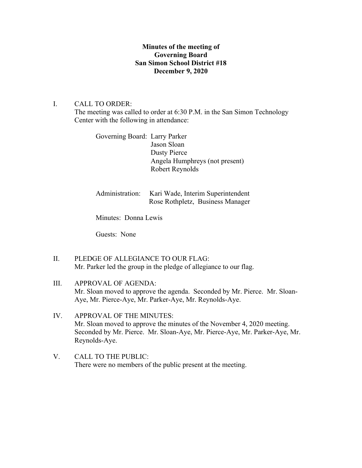# **Minutes of the meeting of Governing Board San Simon School District #18 December 9, 2020**

## I. CALL TO ORDER:

The meeting was called to order at 6:30 P.M. in the San Simon Technology Center with the following in attendance:

Governing Board: Larry Parker Jason Sloan Dusty Pierce Angela Humphreys (not present) Robert Reynolds

Administration: Kari Wade, Interim Superintendent Rose Rothpletz, Business Manager

Minutes: Donna Lewis

Guests: None

- II. PLEDGE OF ALLEGIANCE TO OUR FLAG: Mr. Parker led the group in the pledge of allegiance to our flag.
- III. APPROVAL OF AGENDA: Mr. Sloan moved to approve the agenda. Seconded by Mr. Pierce. Mr. Sloan-Aye, Mr. Pierce-Aye, Mr. Parker-Aye, Mr. Reynolds-Aye.
- IV. APPROVAL OF THE MINUTES: Mr. Sloan moved to approve the minutes of the November 4, 2020 meeting. Seconded by Mr. Pierce. Mr. Sloan-Aye, Mr. Pierce-Aye, Mr. Parker-Aye, Mr. Reynolds-Aye.
- V. CALL TO THE PUBLIC: There were no members of the public present at the meeting.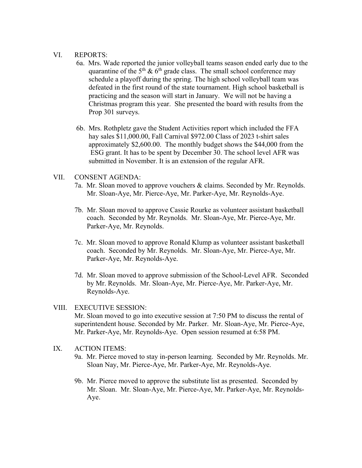### VI. REPORTS:

- 6a. Mrs. Wade reported the junior volleyball teams season ended early due to the quarantine of the  $5<sup>th</sup>$  &  $6<sup>th</sup>$  grade class. The small school conference may schedule a playoff during the spring. The high school volleyball team was defeated in the first round of the state tournament. High school basketball is practicing and the season will start in January. We will not be having a Christmas program this year. She presented the board with results from the Prop 301 surveys.
- 6b. Mrs. Rothpletz gave the Student Activities report which included the FFA hay sales \$11,000.00, Fall Carnival \$972.00 Class of 2023 t-shirt sales approximately \$2,600.00. The monthly budget shows the \$44,000 from the ESG grant. It has to be spent by December 30. The school level AFR was submitted in November. It is an extension of the regular AFR.

## VII. CONSENT AGENDA:

- 7a. Mr. Sloan moved to approve vouchers & claims. Seconded by Mr. Reynolds. Mr. Sloan-Aye, Mr. Pierce-Aye, Mr. Parker-Aye, Mr. Reynolds-Aye.
- 7b. Mr. Sloan moved to approve Cassie Rourke as volunteer assistant basketball coach. Seconded by Mr. Reynolds. Mr. Sloan-Aye, Mr. Pierce-Aye, Mr. Parker-Aye, Mr. Reynolds.
- 7c. Mr. Sloan moved to approve Ronald Klump as volunteer assistant basketball coach. Seconded by Mr. Reynolds. Mr. Sloan-Aye, Mr. Pierce-Aye, Mr. Parker-Aye, Mr. Reynolds-Aye.
- 7d. Mr. Sloan moved to approve submission of the School-Level AFR. Seconded by Mr. Reynolds. Mr. Sloan-Aye, Mr. Pierce-Aye, Mr. Parker-Aye, Mr. Reynolds-Aye.

#### VIII. EXECUTIVE SESSION:

Mr. Sloan moved to go into executive session at 7:50 PM to discuss the rental of superintendent house. Seconded by Mr. Parker. Mr. Sloan-Aye, Mr. Pierce-Aye, Mr. Parker-Aye, Mr. Reynolds-Aye. Open session resumed at 6:58 PM.

## IX. ACTION ITEMS:

- 9a. Mr. Pierce moved to stay in-person learning. Seconded by Mr. Reynolds. Mr. Sloan Nay, Mr. Pierce-Aye, Mr. Parker-Aye, Mr. Reynolds-Aye.
- 9b. Mr. Pierce moved to approve the substitute list as presented. Seconded by Mr. Sloan. Mr. Sloan-Aye, Mr. Pierce-Aye, Mr. Parker-Aye, Mr. Reynolds- Aye.